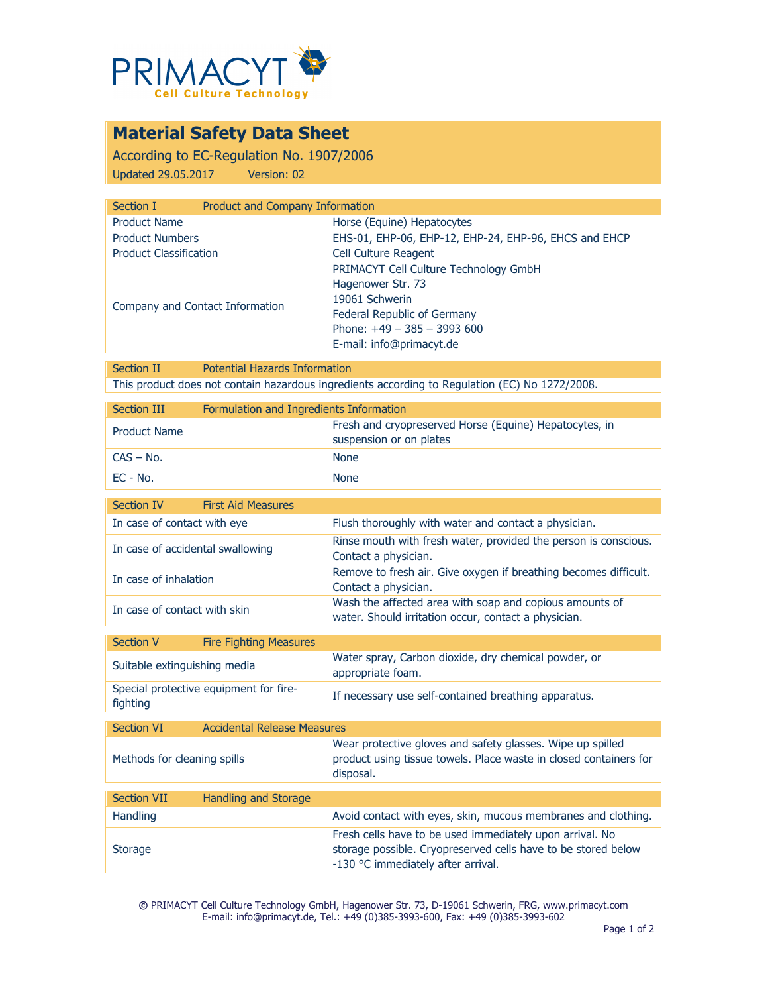

## **Material Safety Data Sheet**

According to EC-Regulation No. 1907/2006 Updated 29.05.2017 Version: 02

| Product and Company Information                       |  |  |
|-------------------------------------------------------|--|--|
| Horse (Equine) Hepatocytes                            |  |  |
| EHS-01, EHP-06, EHP-12, EHP-24, EHP-96, EHCS and EHCP |  |  |
| Cell Culture Reagent                                  |  |  |
| PRIMACYT Cell Culture Technology GmbH                 |  |  |
| Hagenower Str. 73                                     |  |  |
| 19061 Schwerin                                        |  |  |
| Federal Republic of Germany                           |  |  |
| Phone: $+49 - 385 - 3993600$                          |  |  |
| E-mail: info@primacyt.de                              |  |  |
|                                                       |  |  |

Section II Potential Hazards Information This product does not contain hazardous ingredients according to Regulation (EC) No 1272/2008.

| Section III         | Formulation and Ingredients Information |                                                                                   |  |
|---------------------|-----------------------------------------|-----------------------------------------------------------------------------------|--|
| <b>Product Name</b> |                                         | Fresh and cryopreserved Horse (Equine) Hepatocytes, in<br>suspension or on plates |  |
| $CAS - No.$         |                                         | <b>None</b>                                                                       |  |
| EC - No.            |                                         | <b>None</b>                                                                       |  |

| <b>First Aid Measures</b><br>Section IV                 |                                                                                                                                                                 |
|---------------------------------------------------------|-----------------------------------------------------------------------------------------------------------------------------------------------------------------|
| In case of contact with eye                             | Flush thoroughly with water and contact a physician.                                                                                                            |
| In case of accidental swallowing                        | Rinse mouth with fresh water, provided the person is conscious.<br>Contact a physician.                                                                         |
| In case of inhalation                                   | Remove to fresh air. Give oxygen if breathing becomes difficult.<br>Contact a physician.                                                                        |
| In case of contact with skin                            | Wash the affected area with soap and copious amounts of<br>water. Should irritation occur, contact a physician.                                                 |
| <b>Section V</b><br><b>Fire Fighting Measures</b>       |                                                                                                                                                                 |
| Suitable extinguishing media                            | Water spray, Carbon dioxide, dry chemical powder, or<br>appropriate foam.                                                                                       |
| Special protective equipment for fire-<br>fighting      | If necessary use self-contained breathing apparatus.                                                                                                            |
| <b>Accidental Release Measures</b><br><b>Section VI</b> |                                                                                                                                                                 |
| Methods for cleaning spills                             | Wear protective gloves and safety glasses. Wipe up spilled<br>product using tissue towels. Place waste in closed containers for<br>disposal.                    |
| <b>Section VII</b><br><b>Handling and Storage</b>       |                                                                                                                                                                 |
| Handling                                                | Avoid contact with eyes, skin, mucous membranes and clothing.                                                                                                   |
| <b>Storage</b>                                          | Fresh cells have to be used immediately upon arrival. No<br>storage possible. Cryopreserved cells have to be stored below<br>-130 °C immediately after arrival. |

**©** PRIMACYT Cell Culture Technology GmbH, Hagenower Str. 73, D-19061 Schwerin, FRG, www.primacyt.com E-mail: info@primacyt.de, Tel.: +49 (0)385-3993-600, Fax: +49 (0)385-3993-602